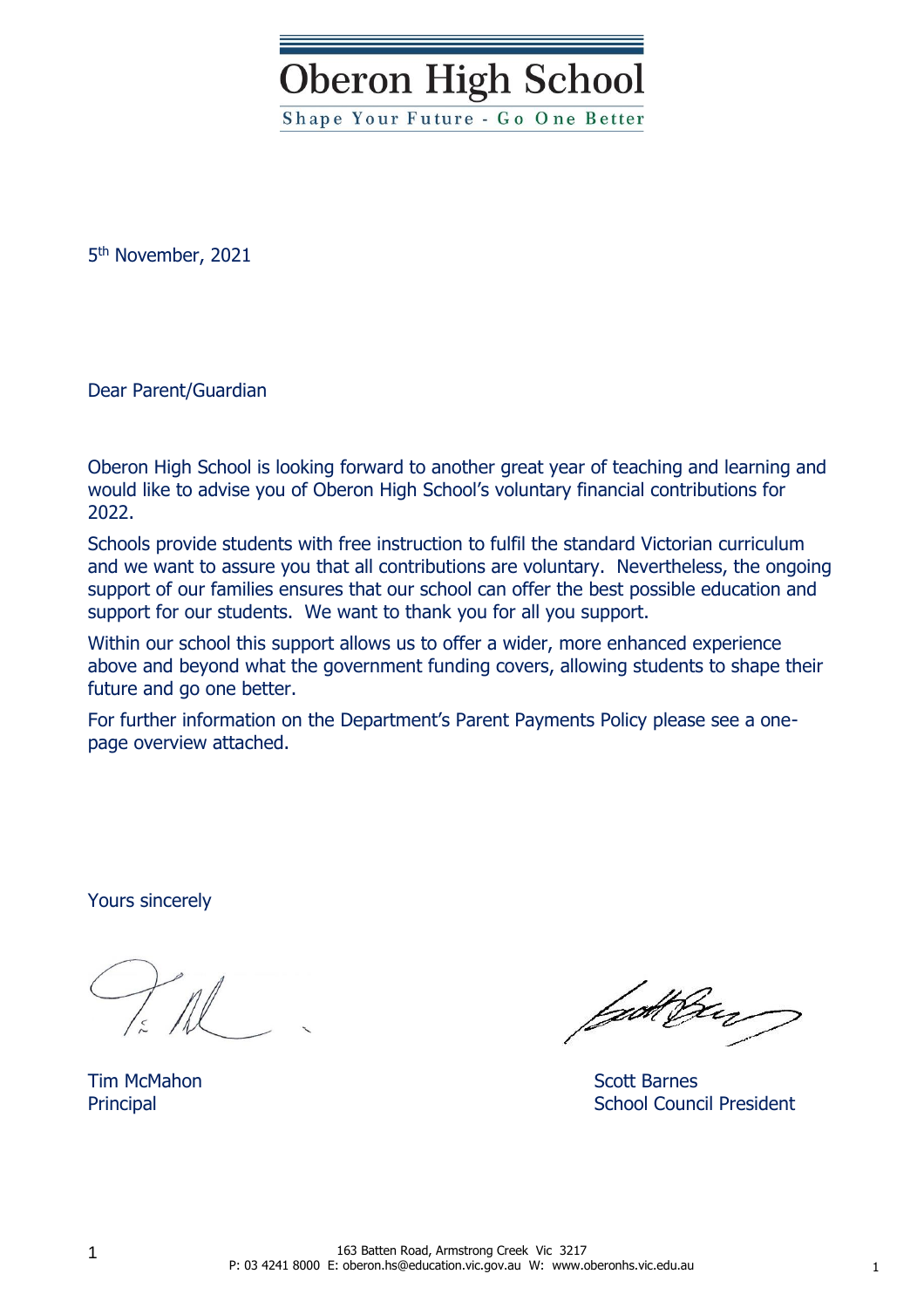**Oberon High School** 

Shape Your Future - Go One Better

5 th November, 2021

Dear Parent/Guardian

Oberon High School is looking forward to another great year of teaching and learning and would like to advise you of Oberon High School's voluntary financial contributions for 2022.

Schools provide students with free instruction to fulfil the standard Victorian curriculum and we want to assure you that all contributions are voluntary. Nevertheless, the ongoing support of our families ensures that our school can offer the best possible education and support for our students. We want to thank you for all you support.

Within our school this support allows us to offer a wider, more enhanced experience above and beyond what the government funding covers, allowing students to shape their future and go one better.

For further information on the Department's Parent Payments Policy please see a onepage overview attached.

Yours sincerely

fgott frey

Tim McMahon Scott Barnes Principal **School Council President**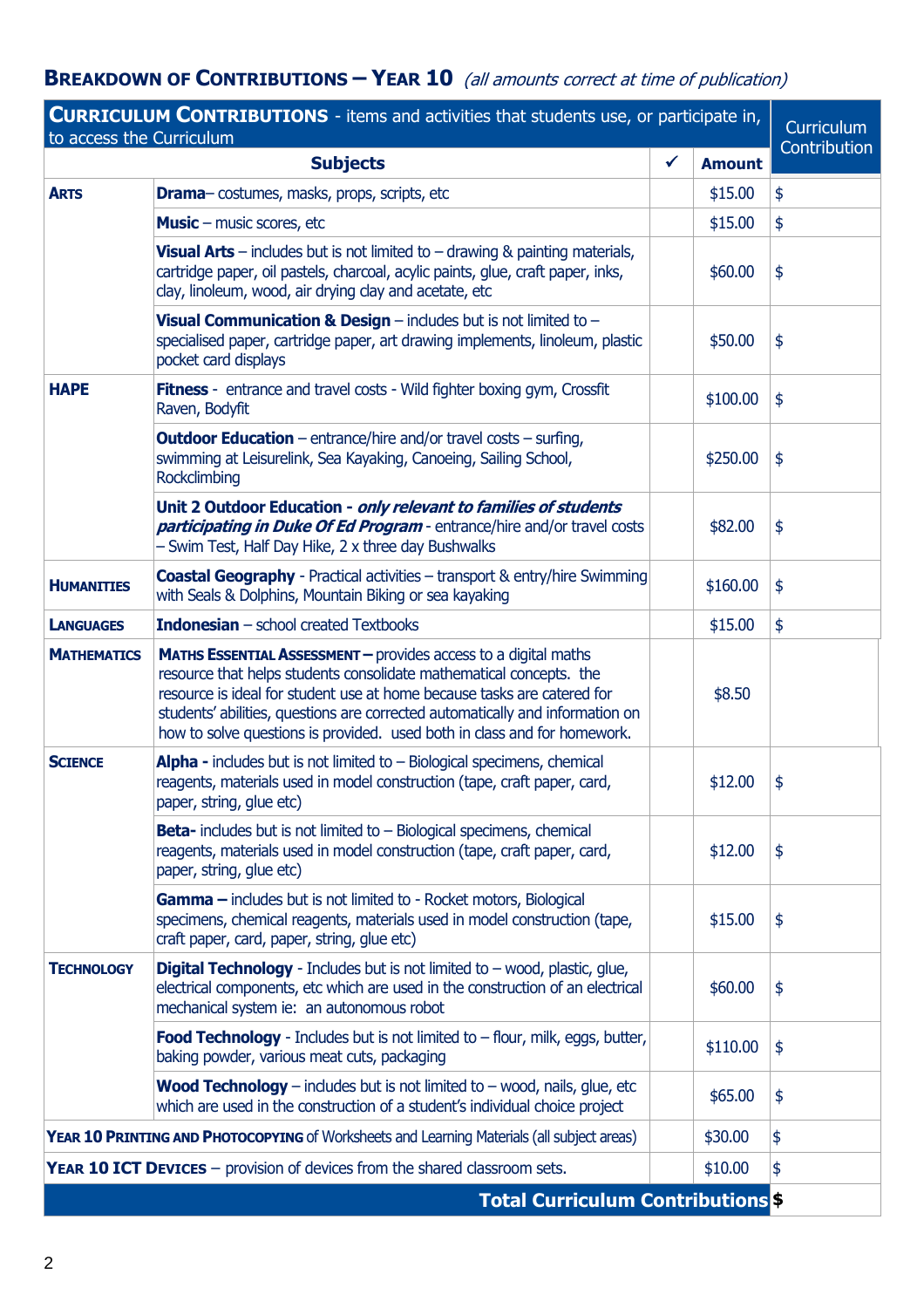## **BREAKDOWN OF CONTRIBUTIONS – YEAR 10** (all amounts correct at time of publication)

| <b>CURRICULUM CONTRIBUTIONS</b> - items and activities that students use, or participate in,<br>to access the Curriculum |                                                                                                                                                                                                                                                                                                                                                                                       |   |               |               |  |
|--------------------------------------------------------------------------------------------------------------------------|---------------------------------------------------------------------------------------------------------------------------------------------------------------------------------------------------------------------------------------------------------------------------------------------------------------------------------------------------------------------------------------|---|---------------|---------------|--|
|                                                                                                                          | <b>Subjects</b>                                                                                                                                                                                                                                                                                                                                                                       | ✔ | <b>Amount</b> | Contribution  |  |
| <b>ARTS</b>                                                                                                              | <b>Drama</b> - costumes, masks, props, scripts, etc                                                                                                                                                                                                                                                                                                                                   |   | \$15.00       | \$            |  |
|                                                                                                                          | <b>Music</b> – music scores, etc                                                                                                                                                                                                                                                                                                                                                      |   | \$15.00       | \$            |  |
|                                                                                                                          | <b>Visual Arts</b> – includes but is not limited to – drawing $\&$ painting materials,<br>cartridge paper, oil pastels, charcoal, acylic paints, glue, craft paper, inks,<br>clay, linoleum, wood, air drying clay and acetate, etc                                                                                                                                                   |   | \$60.00       | \$            |  |
|                                                                                                                          | Visual Communication & Design $-$ includes but is not limited to $-$<br>specialised paper, cartridge paper, art drawing implements, linoleum, plastic<br>pocket card displays                                                                                                                                                                                                         |   | \$50.00       | \$            |  |
| <b>HAPE</b>                                                                                                              | <b>Fitness</b> - entrance and travel costs - Wild fighter boxing gym, Crossfit<br>Raven, Bodyfit                                                                                                                                                                                                                                                                                      |   | \$100.00      | $\frac{1}{2}$ |  |
|                                                                                                                          | <b>Outdoor Education</b> - entrance/hire and/or travel costs - surfing,<br>swimming at Leisurelink, Sea Kayaking, Canoeing, Sailing School,<br>Rockclimbing                                                                                                                                                                                                                           |   | \$250.00      | \$            |  |
|                                                                                                                          | Unit 2 Outdoor Education - only relevant to families of students<br>participating in Duke Of Ed Program - entrance/hire and/or travel costs<br>Swim Test, Half Day Hike, 2 x three day Bushwalks                                                                                                                                                                                      |   | \$82.00       | \$            |  |
| <b>HUMANITIES</b>                                                                                                        | <b>Coastal Geography</b> - Practical activities – transport & entry/hire Swimming<br>with Seals & Dolphins, Mountain Biking or sea kayaking                                                                                                                                                                                                                                           |   | \$160.00      | $\frac{1}{2}$ |  |
| <b>LANGUAGES</b>                                                                                                         | <b>Indonesian</b> $-$ school created Textbooks                                                                                                                                                                                                                                                                                                                                        |   | \$15.00       | \$            |  |
| <b>MATHEMATICS</b>                                                                                                       | <b>MATHS ESSENTIAL ASSESSMENT - provides access to a digital maths</b><br>resource that helps students consolidate mathematical concepts. the<br>resource is ideal for student use at home because tasks are catered for<br>students' abilities, questions are corrected automatically and information on<br>how to solve questions is provided. used both in class and for homework. |   | \$8.50        |               |  |
| <b>SCIENCE</b>                                                                                                           | <b>Alpha</b> - includes but is not limited to $-$ Biological specimens, chemical<br>reagents, materials used in model construction (tape, craft paper, card,<br>paper, string, glue etc)                                                                                                                                                                                              |   | \$12.00       | \$            |  |
|                                                                                                                          | <b>Beta-</b> includes but is not limited to $-$ Biological specimens, chemical<br>reagents, materials used in model construction (tape, craft paper, card,<br>paper, string, glue etc)                                                                                                                                                                                                |   | \$12.00       | \$            |  |
|                                                                                                                          | Gamma - includes but is not limited to - Rocket motors, Biological<br>specimens, chemical reagents, materials used in model construction (tape,<br>craft paper, card, paper, string, glue etc)                                                                                                                                                                                        |   | \$15.00       | \$            |  |
| <b>TECHNOLOGY</b>                                                                                                        | <b>Digital Technology</b> - Includes but is not limited to $-$ wood, plastic, glue,<br>electrical components, etc which are used in the construction of an electrical<br>mechanical system ie: an autonomous robot                                                                                                                                                                    |   | \$60.00       | \$            |  |
|                                                                                                                          | Food Technology - Includes but is not limited to - flour, milk, eggs, butter,<br>baking powder, various meat cuts, packaging                                                                                                                                                                                                                                                          |   | \$110.00      | \$            |  |
|                                                                                                                          | <b>Wood Technology</b> – includes but is not limited to – wood, nails, glue, etc<br>which are used in the construction of a student's individual choice project                                                                                                                                                                                                                       |   | \$65.00       | \$            |  |
|                                                                                                                          | YEAR 10 PRINTING AND PHOTOCOPYING of Worksheets and Learning Materials (all subject areas)                                                                                                                                                                                                                                                                                            |   | \$30.00       | \$            |  |
|                                                                                                                          | <b>YEAR 10 ICT DEVICES</b> - provision of devices from the shared classroom sets.                                                                                                                                                                                                                                                                                                     |   | \$10.00       | \$            |  |
|                                                                                                                          | Total Curriculum Contributions \$                                                                                                                                                                                                                                                                                                                                                     |   |               |               |  |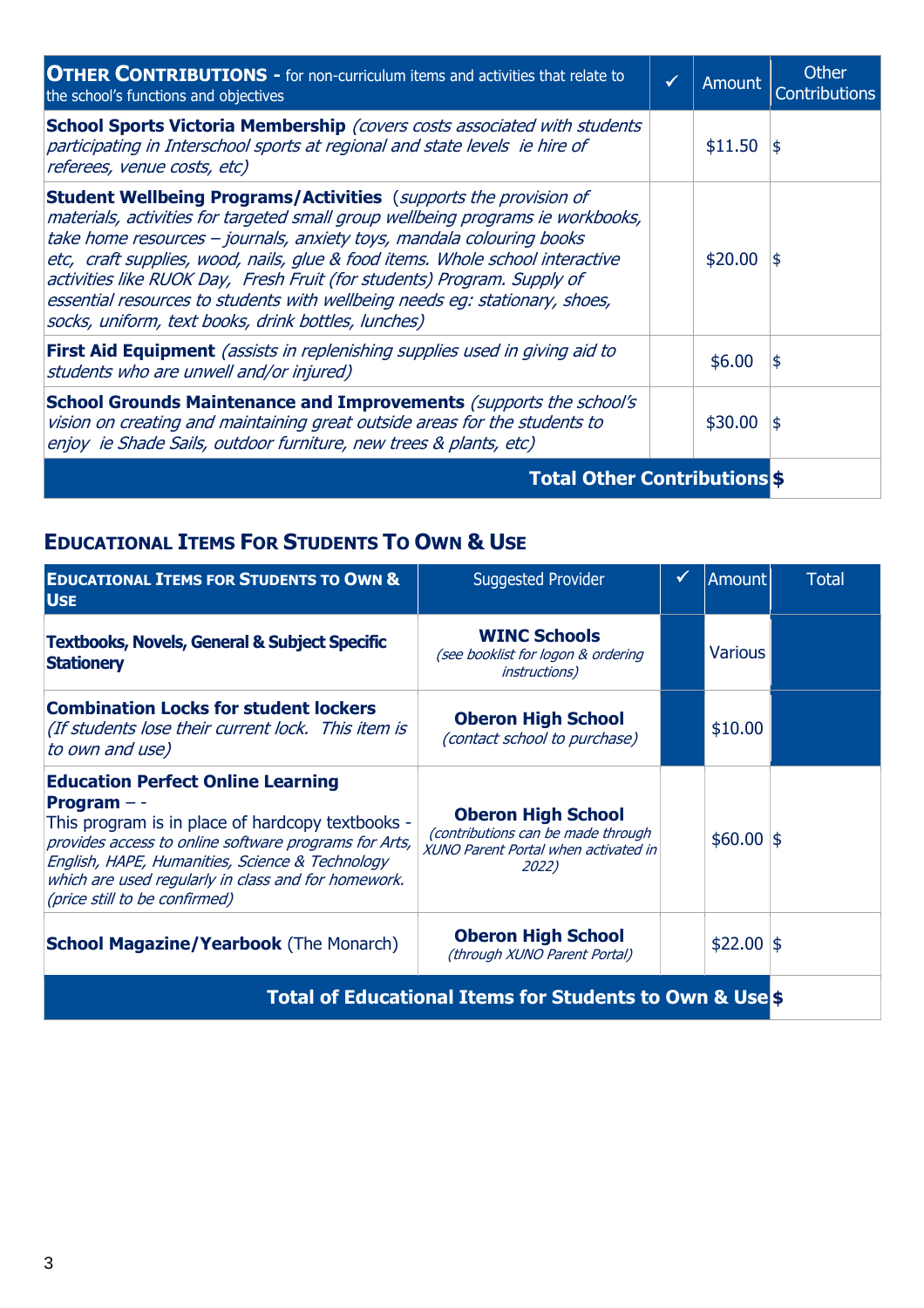| <b>OTHER CONTRIBUTIONS -</b> for non-curriculum items and activities that relate to<br>the school's functions and objectives                                                                                                                                                                                                                                                                                                                                                                                                          | ✓ | Amount  | Other<br><b>Contributions</b> |
|---------------------------------------------------------------------------------------------------------------------------------------------------------------------------------------------------------------------------------------------------------------------------------------------------------------------------------------------------------------------------------------------------------------------------------------------------------------------------------------------------------------------------------------|---|---------|-------------------------------|
| School Sports Victoria Membership (covers costs associated with students<br>participating in Interschool sports at regional and state levels ie hire of<br>referees, venue costs, etc)                                                                                                                                                                                                                                                                                                                                                |   | \$11.50 | 1\$                           |
| <b>Student Wellbeing Programs/Activities</b> (supports the provision of<br>materials, activities for targeted small group wellbeing programs ie workbooks,<br>take home resources – journals, anxiety toys, mandala colouring books<br>etc, craft supplies, wood, nails, glue & food items. Whole school interactive<br>activities like RUOK Day, Fresh Fruit (for students) Program. Supply of<br>essential resources to students with wellbeing needs eg: stationary, shoes,<br>socks, uniform, text books, drink bottles, lunches) |   | \$20.00 | 1\$                           |
| <b>First Aid Equipment</b> (assists in replenishing supplies used in giving aid to<br>students who are unwell and/or injured)                                                                                                                                                                                                                                                                                                                                                                                                         |   | \$6.00  | 1\$                           |
| <b>School Grounds Maintenance and Improvements</b> (supports the school's<br>vision on creating and maintaining great outside areas for the students to<br>enjoy ie Shade Sails, outdoor furniture, new trees & plants, etc)                                                                                                                                                                                                                                                                                                          |   | \$30.00 | 1\$                           |
| <b>Total Other Contributions \$</b>                                                                                                                                                                                                                                                                                                                                                                                                                                                                                                   |   |         |                               |

# **EDUCATIONAL ITEMS FOR STUDENTS TO OWN & USE**

| <b>EDUCATIONAL ITEMS FOR STUDENTS TO OWN &amp;</b><br><b>USE</b>                                                                                                                                                                                                                                                  | <b>Suggested Provider</b>                                                                                        |  | <b>Amount</b>  | <b>Total</b> |
|-------------------------------------------------------------------------------------------------------------------------------------------------------------------------------------------------------------------------------------------------------------------------------------------------------------------|------------------------------------------------------------------------------------------------------------------|--|----------------|--------------|
| <b>Textbooks, Novels, General &amp; Subject Specific</b><br><b>Stationery</b>                                                                                                                                                                                                                                     | <b>WINC Schools</b><br>(see booklist for logon & ordering<br><i>instructions</i> )                               |  | <b>Various</b> |              |
| <b>Combination Locks for student lockers</b><br>(If students lose their current lock. This item is<br>to own and use)                                                                                                                                                                                             | <b>Oberon High School</b><br>(contact school to purchase)                                                        |  | \$10.00        |              |
| <b>Education Perfect Online Learning</b><br>Program $-$ -<br>This program is in place of hardcopy textbooks -<br>provides access to online software programs for Arts,<br>English, HAPE, Humanities, Science & Technology<br>which are used regularly in class and for homework.<br>(price still to be confirmed) | <b>Oberon High School</b><br>(contributions can be made through<br>XUNO Parent Portal when activated in<br>2022) |  | $$60.00$ \$    |              |
| <b>School Magazine/Yearbook</b> (The Monarch)                                                                                                                                                                                                                                                                     | <b>Oberon High School</b><br>(through XUNO Parent Portal)                                                        |  | $$22.00$ \$    |              |
| <b>Total of Educational Items for Students to Own &amp; Use Strate</b>                                                                                                                                                                                                                                            |                                                                                                                  |  |                |              |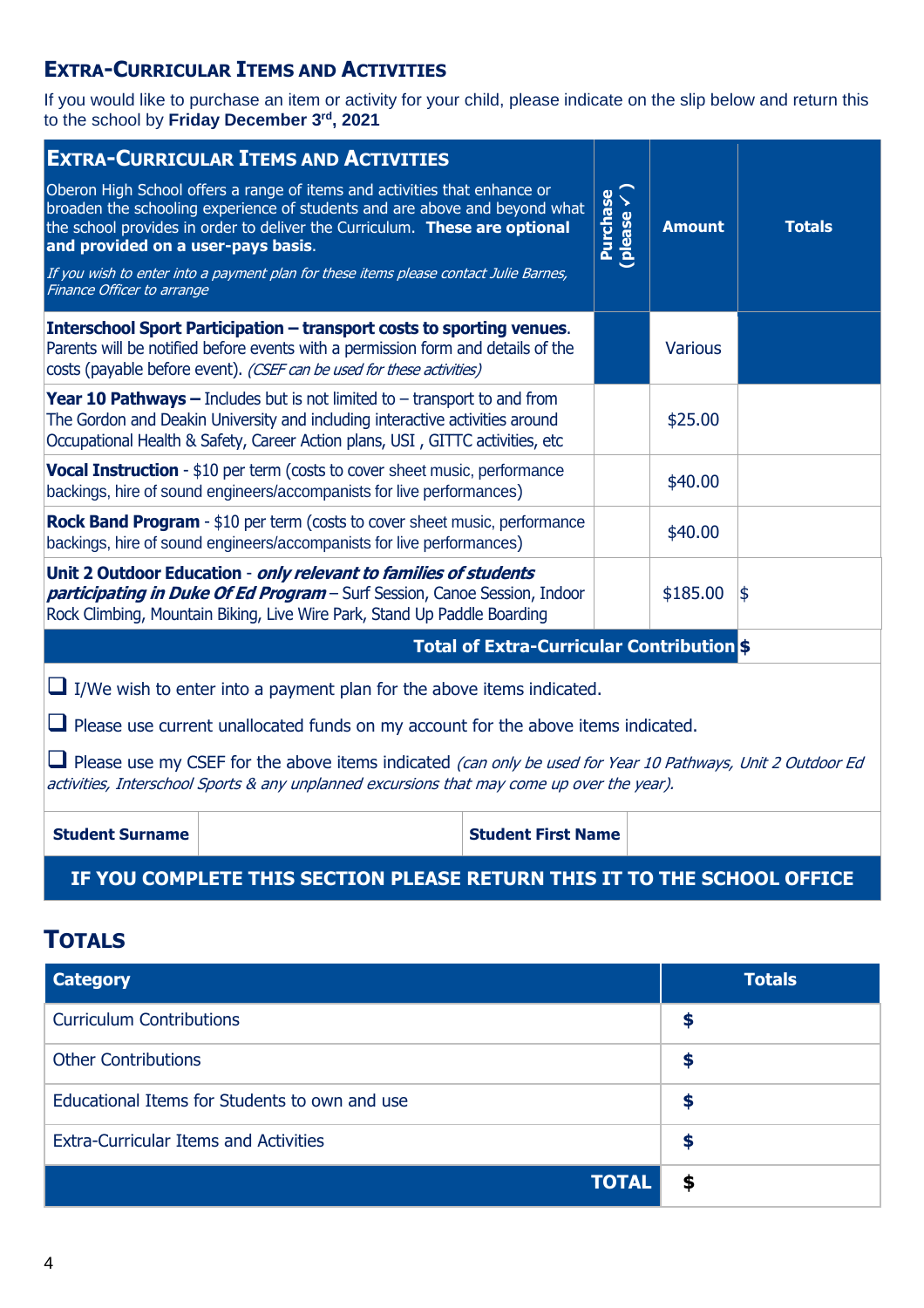## **EXTRA-CURRICULAR ITEMS AND ACTIVITIES**

If you would like to purchase an item or activity for your child, please indicate on the slip below and return this to the school by **Friday December 3rd, 2021**

| <b>EXTRA-CURRICULAR ITEMS AND ACTIVITIES</b>                                                                                                                                                                              |                                                                                                                                                                                                                                                                                                                                |                           |                                    |                |               |
|---------------------------------------------------------------------------------------------------------------------------------------------------------------------------------------------------------------------------|--------------------------------------------------------------------------------------------------------------------------------------------------------------------------------------------------------------------------------------------------------------------------------------------------------------------------------|---------------------------|------------------------------------|----------------|---------------|
| and provided on a user-pays basis.                                                                                                                                                                                        | Oberon High School offers a range of items and activities that enhance or<br>broaden the schooling experience of students and are above and beyond what<br>the school provides in order to deliver the Curriculum. These are optional<br>If you wish to enter into a payment plan for these items please contact Julie Barnes, |                           | Purchase<br>(please $\checkmark$ ) | <b>Amount</b>  | <b>Totals</b> |
| Finance Officer to arrange                                                                                                                                                                                                |                                                                                                                                                                                                                                                                                                                                |                           |                                    |                |               |
|                                                                                                                                                                                                                           | Interschool Sport Participation – transport costs to sporting venues.<br>Parents will be notified before events with a permission form and details of the<br>costs (payable before event). (CSEF can be used for these activities)                                                                                             |                           |                                    | <b>Various</b> |               |
|                                                                                                                                                                                                                           | <b>Year 10 Pathways -</b> Includes but is not limited to $-$ transport to and from<br>The Gordon and Deakin University and including interactive activities around<br>Occupational Health & Safety, Career Action plans, USI, GITTC activities, etc                                                                            |                           |                                    | \$25.00        |               |
|                                                                                                                                                                                                                           | <b>Vocal Instruction</b> - \$10 per term (costs to cover sheet music, performance<br>backings, hire of sound engineers/accompanists for live performances)                                                                                                                                                                     |                           |                                    | \$40.00        |               |
|                                                                                                                                                                                                                           | <b>Rock Band Program</b> - \$10 per term (costs to cover sheet music, performance<br>backings, hire of sound engineers/accompanists for live performances)                                                                                                                                                                     |                           |                                    | \$40.00        |               |
| Unit 2 Outdoor Education - only relevant to families of students<br>participating in Duke Of Ed Program - Surf Session, Canoe Session, Indoor<br>Rock Climbing, Mountain Biking, Live Wire Park, Stand Up Paddle Boarding |                                                                                                                                                                                                                                                                                                                                |                           |                                    | \$185.00       | 1\$           |
| <b>Total of Extra-Curricular Contribution \$</b>                                                                                                                                                                          |                                                                                                                                                                                                                                                                                                                                |                           |                                    |                |               |
| I/We wish to enter into a payment plan for the above items indicated.                                                                                                                                                     |                                                                                                                                                                                                                                                                                                                                |                           |                                    |                |               |
| $\Box$ Please use current unallocated funds on my account for the above items indicated.                                                                                                                                  |                                                                                                                                                                                                                                                                                                                                |                           |                                    |                |               |
| $\Box$ Please use my CSEF for the above items indicated (can only be used for Year 10 Pathways, Unit 2 Outdoor Ed<br>activities, Interschool Sports & any unplanned excursions that may come up over the year).           |                                                                                                                                                                                                                                                                                                                                |                           |                                    |                |               |
| <b>Student Surname</b>                                                                                                                                                                                                    |                                                                                                                                                                                                                                                                                                                                | <b>Student First Name</b> |                                    |                |               |
|                                                                                                                                                                                                                           |                                                                                                                                                                                                                                                                                                                                |                           |                                    |                |               |

## **IF YOU COMPLETE THIS SECTION PLEASE RETURN THIS IT TO THE SCHOOL OFFICE**

## **TOTALS**

| <b>Category</b>                               | <b>Totals</b> |
|-----------------------------------------------|---------------|
| <b>Curriculum Contributions</b>               | S             |
| <b>Other Contributions</b>                    | œ             |
| Educational Items for Students to own and use | æ             |
| <b>Extra-Curricular Items and Activities</b>  | œ<br>œ        |
| <b>TOTAL</b>                                  | S             |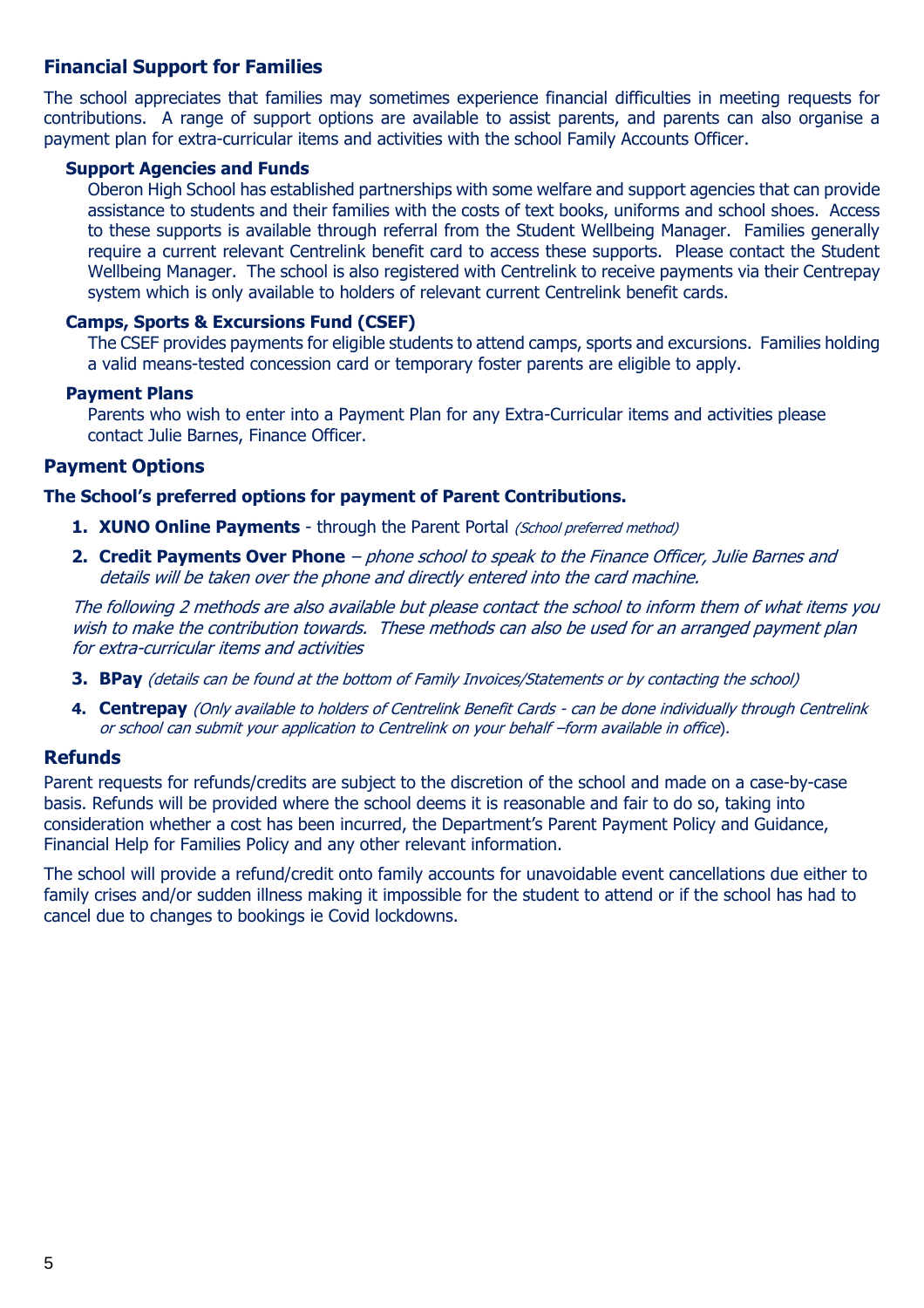### **Financial Support for Families**

The school appreciates that families may sometimes experience financial difficulties in meeting requests for contributions. A range of support options are available to assist parents, and parents can also organise a payment plan for extra-curricular items and activities with the school Family Accounts Officer.

#### **Support Agencies and Funds**

Oberon High School has established partnerships with some welfare and support agencies that can provide assistance to students and their families with the costs of text books, uniforms and school shoes. Access to these supports is available through referral from the Student Wellbeing Manager. Families generally require a current relevant Centrelink benefit card to access these supports. Please contact the Student Wellbeing Manager. The school is also registered with Centrelink to receive payments via their Centrepay system which is only available to holders of relevant current Centrelink benefit cards.

#### **Camps, Sports & Excursions Fund (CSEF)**

The CSEF provides payments for eligible students to attend camps, sports and excursions. Families holding a valid means-tested concession card or temporary foster parents are eligible to apply.

#### **Payment Plans**

Parents who wish to enter into a Payment Plan for any Extra-Curricular items and activities please contact Julie Barnes, Finance Officer.

#### **Payment Options**

#### **The School's preferred options for payment of Parent Contributions.**

- **1. XUNO Online Payments** through the Parent Portal (School preferred method)
- **2. Credit Payments Over Phone**  phone school to speak to the Finance Officer, Julie Barnes and details will be taken over the phone and directly entered into the card machine.

The following 2 methods are also available but please contact the school to inform them of what items you wish to make the contribution towards. These methods can also be used for an arranged payment plan for extra-curricular items and activities

- **3. BPay** (details can be found at the bottom of Family Invoices/Statements or by contacting the school)
- **4. Centrepay** (Only available to holders of Centrelink Benefit Cards can be done individually through Centrelink or school can submit your application to Centrelink on your behalf –form available in office).

#### **Refunds**

Parent requests for refunds/credits are subject to the discretion of the school and made on a case-by-case basis. Refunds will be provided where the school deems it is reasonable and fair to do so, taking into consideration whether a cost has been incurred, the Department's Parent Payment Policy and Guidance, Financial Help for Families Policy and any other relevant information.

The school will provide a refund/credit onto family accounts for unavoidable event cancellations due either to family crises and/or sudden illness making it impossible for the student to attend or if the school has had to cancel due to changes to bookings ie Covid lockdowns.